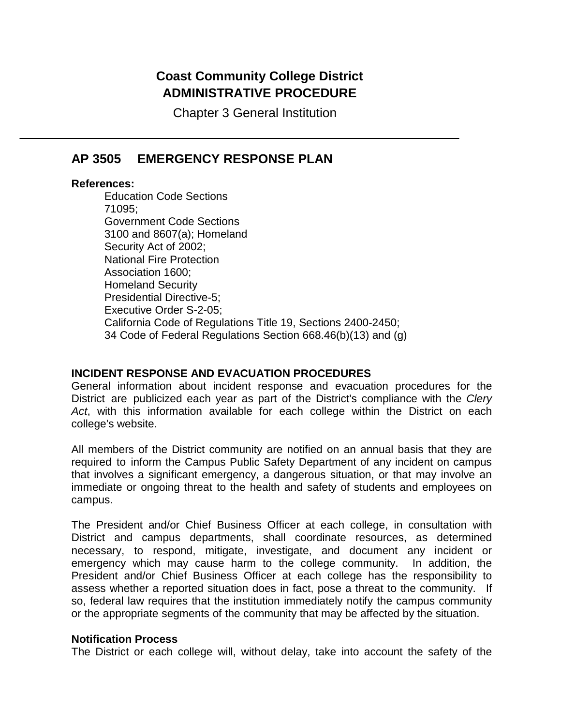# **Coast Community College District ADMINISTRATIVE PROCEDURE**

Chapter 3 General Institution

## **AP 3505 EMERGENCY RESPONSE PLAN**

### **References:**

Education Code Sections 71095; Government Code Sections 3100 and 8607(a); Homeland Security Act of 2002; National Fire Protection Association 1600; Homeland Security Presidential Directive-5; Executive Order S-2-05; California Code of Regulations Title 19, Sections 2400-2450; 34 Code of Federal Regulations Section 668.46(b)(13) and (g)

### **INCIDENT RESPONSE AND EVACUATION PROCEDURES**

General information about incident response and evacuation procedures for the District are publicized each year as part of the District's compliance with the *Clery Act*, with this information available for each college within the District on each college's website.

All members of the District community are notified on an annual basis that they are required to inform the Campus Public Safety Department of any incident on campus that involves a significant emergency, a dangerous situation, or that may involve an immediate or ongoing threat to the health and safety of students and employees on campus.

The President and/or Chief Business Officer at each college, in consultation with District and campus departments, shall coordinate resources, as determined necessary, to respond, mitigate, investigate, and document any incident or emergency which may cause harm to the college community. In addition, the President and/or Chief Business Officer at each college has the responsibility to assess whether a reported situation does in fact, pose a threat to the community. If so, federal law requires that the institution immediately notify the campus community or the appropriate segments of the community that may be affected by the situation.

### **Notification Process**

The District or each college will, without delay, take into account the safety of the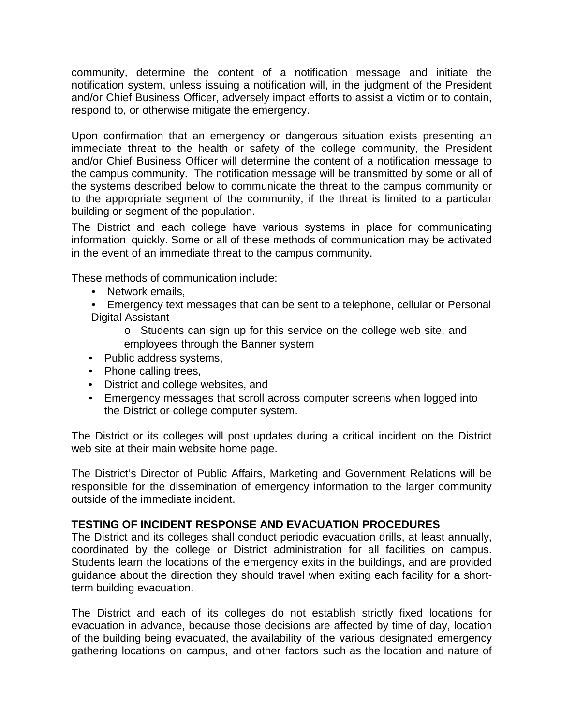community, determine the content of a notification message and initiate the notification system, unless issuing a notification will, in the judgment of the President and/or Chief Business Officer, adversely impact efforts to assist a victim or to contain, respond to, or otherwise mitigate the emergency.

Upon confirmation that an emergency or dangerous situation exists presenting an immediate threat to the health or safety of the college community, the President and/or Chief Business Officer will determine the content of a notification message to the campus community. The notification message will be transmitted by some or all of the systems described below to communicate the threat to the campus community or to the appropriate segment of the community, if the threat is limited to a particular building or segment of the population.

The District and each college have various systems in place for communicating information quickly. Some or all of these methods of communication may be activated in the event of an immediate threat to the campus community.

These methods of communication include:

- Network emails,
- Emergency text messages that can be sent to a telephone, cellular or Personal Digital Assistant
	- o Students can sign up for this service on the college web site, and employees through the Banner system
- Public address systems,
- Phone calling trees,
- District and college websites, and
- Emergency messages that scroll across computer screens when logged into the District or college computer system.

The District or its colleges will post updates during a critical incident on the District web site at their main website home page.

The District's Director of Public Affairs, Marketing and Government Relations will be responsible for the dissemination of emergency information to the larger community outside of the immediate incident.

### **TESTING OF INCIDENT RESPONSE AND EVACUATION PROCEDURES**

The District and its colleges shall conduct periodic evacuation drills, at least annually, coordinated by the college or District administration for all facilities on campus. Students learn the locations of the emergency exits in the buildings, and are provided guidance about the direction they should travel when exiting each facility for a shortterm building evacuation.

The District and each of its colleges do not establish strictly fixed locations for evacuation in advance, because those decisions are affected by time of day, location of the building being evacuated, the availability of the various designated emergency gathering locations on campus, and other factors such as the location and nature of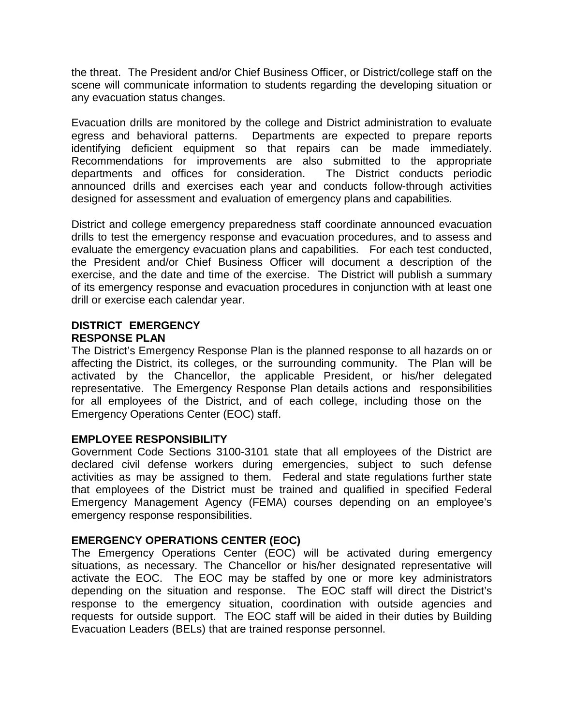the threat. The President and/or Chief Business Officer, or District/college staff on the scene will communicate information to students regarding the developing situation or any evacuation status changes.

Evacuation drills are monitored by the college and District administration to evaluate egress and behavioral patterns. Departments are expected to prepare reports identifying deficient equipment so that repairs can be made immediately. Recommendations for improvements are also submitted to the appropriate departments and offices for consideration. The District conducts periodic announced drills and exercises each year and conducts follow-through activities designed for assessment and evaluation of emergency plans and capabilities.

District and college emergency preparedness staff coordinate announced evacuation drills to test the emergency response and evacuation procedures, and to assess and evaluate the emergency evacuation plans and capabilities. For each test conducted, the President and/or Chief Business Officer will document a description of the exercise, and the date and time of the exercise. The District will publish a summary of its emergency response and evacuation procedures in conjunction with at least one drill or exercise each calendar year.

## **DISTRICT EMERGENCY RESPONSE PLAN**

The District's Emergency Response Plan is the planned response to all hazards on or affecting the District, its colleges, or the surrounding community. The Plan will be activated by the Chancellor, the applicable President, or his/her delegated representative. The Emergency Response Plan details actions and responsibilities for all employees of the District, and of each college, including those on the Emergency Operations Center (EOC) staff.

### **EMPLOYEE RESPONSIBILITY**

Government Code Sections 3100-3101 state that all employees of the District are declared civil defense workers during emergencies, subject to such defense activities as may be assigned to them. Federal and state regulations further state that employees of the District must be trained and qualified in specified Federal Emergency Management Agency (FEMA) courses depending on an employee's emergency response responsibilities.

## **EMERGENCY OPERATIONS CENTER (EOC)**

The Emergency Operations Center (EOC) will be activated during emergency situations, as necessary. The Chancellor or his/her designated representative will activate the EOC. The EOC may be staffed by one or more key administrators depending on the situation and response. The EOC staff will direct the District's response to the emergency situation, coordination with outside agencies and requests for outside support. The EOC staff will be aided in their duties by Building Evacuation Leaders (BELs) that are trained response personnel.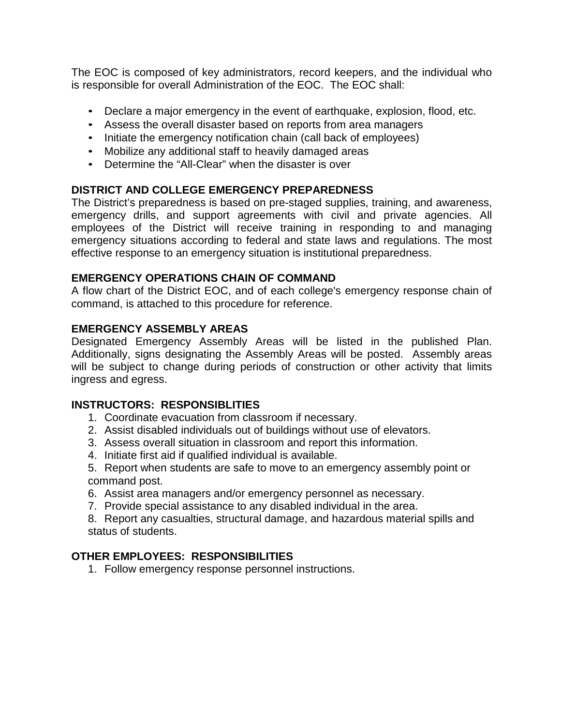The EOC is composed of key administrators, record keepers, and the individual who is responsible for overall Administration of the EOC. The EOC shall:

- Declare a major emergency in the event of earthquake, explosion, flood, etc.
- Assess the overall disaster based on reports from area managers
- Initiate the emergency notification chain (call back of employees)
- Mobilize any additional staff to heavily damaged areas
- Determine the "All-Clear" when the disaster is over

## **DISTRICT AND COLLEGE EMERGENCY PREPAREDNESS**

The District's preparedness is based on pre-staged supplies, training, and awareness, emergency drills, and support agreements with civil and private agencies. All employees of the District will receive training in responding to and managing emergency situations according to federal and state laws and regulations. The most effective response to an emergency situation is institutional preparedness.

## **EMERGENCY OPERATIONS CHAIN OF COMMAND**

A flow chart of the District EOC, and of each college's emergency response chain of command, is attached to this procedure for reference.

## **EMERGENCY ASSEMBLY AREAS**

Designated Emergency Assembly Areas will be listed in the published Plan. Additionally, signs designating the Assembly Areas will be posted. Assembly areas will be subject to change during periods of construction or other activity that limits ingress and egress.

## **INSTRUCTORS: RESPONSIBLITIES**

- 1. Coordinate evacuation from classroom if necessary.
- 2. Assist disabled individuals out of buildings without use of elevators.
- 3. Assess overall situation in classroom and report this information.
- 4. Initiate first aid if qualified individual is available.
- 5. Report when students are safe to move to an emergency assembly point or command post.
- 6. Assist area managers and/or emergency personnel as necessary.
- 7. Provide special assistance to any disabled individual in the area.

8. Report any casualties, structural damage, and hazardous material spills and status of students.

## **OTHER EMPLOYEES: RESPONSIBILITIES**

1. Follow emergency response personnel instructions.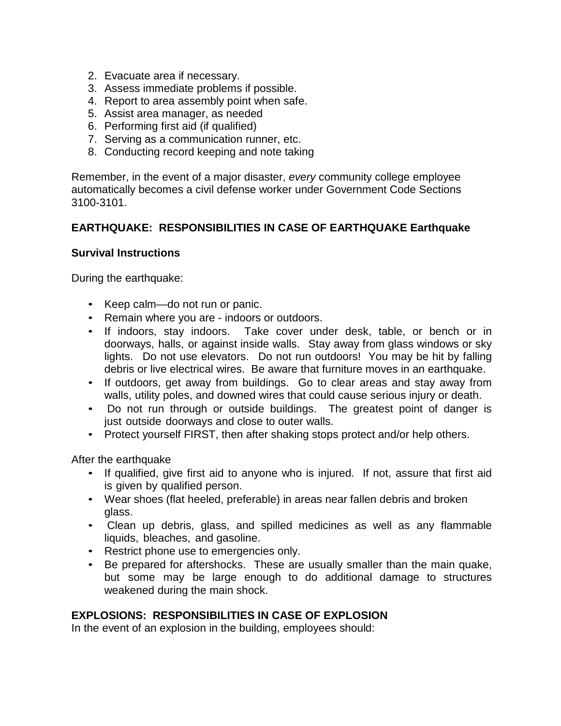- 2. Evacuate area if necessary.
- 3. Assess immediate problems if possible.
- 4. Report to area assembly point when safe.
- 5. Assist area manager, as needed
- 6. Performing first aid (if qualified)
- 7. Serving as a communication runner, etc.
- 8. Conducting record keeping and note taking

Remember, in the event of a major disaster, *every* community college employee automatically becomes a civil defense worker under Government Code Sections 3100-3101.

## **EARTHQUAKE: RESPONSIBILITIES IN CASE OF EARTHQUAKE Earthquake**

### **Survival Instructions**

During the earthquake:

- Keep calm—do not run or panic.
- Remain where you are indoors or outdoors.
- If indoors, stay indoors. Take cover under desk, table, or bench or in doorways, halls, or against inside walls. Stay away from glass windows or sky lights. Do not use elevators. Do not run outdoors! You may be hit by falling debris or live electrical wires. Be aware that furniture moves in an earthquake.
- If outdoors, get away from buildings. Go to clear areas and stay away from walls, utility poles, and downed wires that could cause serious injury or death.
- Do not run through or outside buildings. The greatest point of danger is just outside doorways and close to outer walls.
- Protect yourself FIRST, then after shaking stops protect and/or help others.

After the earthquake

- If qualified, give first aid to anyone who is injured. If not, assure that first aid is given by qualified person.
- Wear shoes (flat heeled, preferable) in areas near fallen debris and broken glass.
- Clean up debris, glass, and spilled medicines as well as any flammable liquids, bleaches, and gasoline.
- Restrict phone use to emergencies only.
- Be prepared for aftershocks. These are usually smaller than the main quake, but some may be large enough to do additional damage to structures weakened during the main shock.

## **EXPLOSIONS: RESPONSIBILITIES IN CASE OF EXPLOSION**

In the event of an explosion in the building, employees should: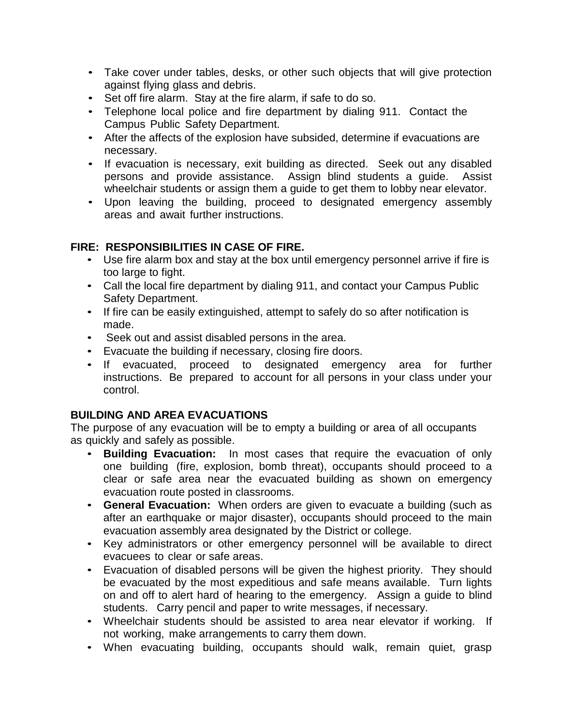- Take cover under tables, desks, or other such objects that will give protection against flying glass and debris.
- Set off fire alarm. Stay at the fire alarm, if safe to do so.
- Telephone local police and fire department by dialing 911. Contact the Campus Public Safety Department.
- After the affects of the explosion have subsided, determine if evacuations are necessary.
- If evacuation is necessary, exit building as directed. Seek out any disabled persons and provide assistance. Assign blind students a guide. Assist wheelchair students or assign them a guide to get them to lobby near elevator.
- Upon leaving the building, proceed to designated emergency assembly areas and await further instructions.

## **FIRE: RESPONSIBILITIES IN CASE OF FIRE.**

- Use fire alarm box and stay at the box until emergency personnel arrive if fire is too large to fight.
- Call the local fire department by dialing 911, and contact your Campus Public Safety Department.
- If fire can be easily extinguished, attempt to safely do so after notification is made.
- Seek out and assist disabled persons in the area.
- Evacuate the building if necessary, closing fire doors.
- If evacuated, proceed to designated emergency area for further instructions. Be prepared to account for all persons in your class under your control.

## **BUILDING AND AREA EVACUATIONS**

The purpose of any evacuation will be to empty a building or area of all occupants as quickly and safely as possible.

- **Building Evacuation:** In most cases that require the evacuation of only one building (fire, explosion, bomb threat), occupants should proceed to a clear or safe area near the evacuated building as shown on emergency evacuation route posted in classrooms.
- **General Evacuation:** When orders are given to evacuate a building (such as after an earthquake or major disaster), occupants should proceed to the main evacuation assembly area designated by the District or college.
- Key administrators or other emergency personnel will be available to direct evacuees to clear or safe areas.
- Evacuation of disabled persons will be given the highest priority. They should be evacuated by the most expeditious and safe means available. Turn lights on and off to alert hard of hearing to the emergency. Assign a guide to blind students. Carry pencil and paper to write messages, if necessary.
- Wheelchair students should be assisted to area near elevator if working. If not working, make arrangements to carry them down.
- When evacuating building, occupants should walk, remain quiet, grasp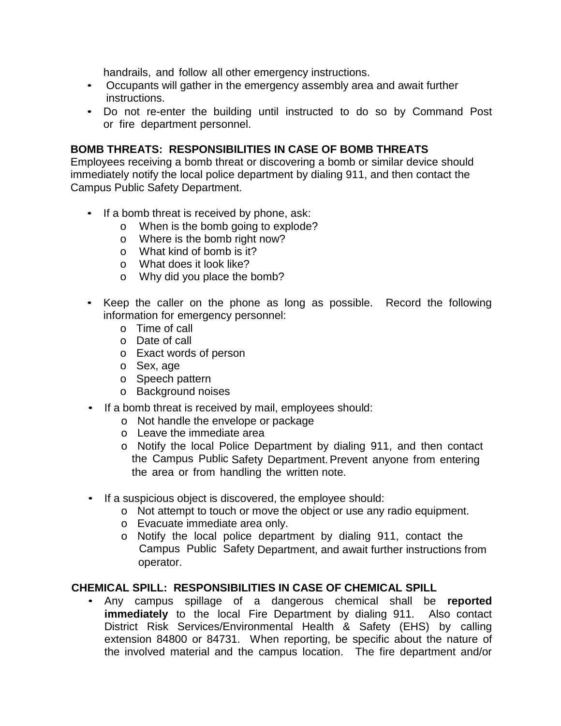handrails, and follow all other emergency instructions.

- Occupants will gather in the emergency assembly area and await further instructions.
- Do not re-enter the building until instructed to do so by Command Post or fire department personnel.

### **BOMB THREATS: RESPONSIBILITIES IN CASE OF BOMB THREATS**

Employees receiving a bomb threat or discovering a bomb or similar device should immediately notify the local police department by dialing 911, and then contact the Campus Public Safety Department.

- If a bomb threat is received by phone, ask:
	- o When is the bomb going to explode?
	- o Where is the bomb right now?
	- o What kind of bomb is it?
	- o What does it look like?
	- o Why did you place the bomb?
- Keep the caller on the phone as long as possible. Record the following information for emergency personnel:
	- o Time of call
	- o Date of call
	- o Exact words of person
	- o Sex, age
	- o Speech pattern
	- o Background noises
- If a bomb threat is received by mail, employees should:
	- o Not handle the envelope or package
	- o Leave the immediate area
	- o Notify the local Police Department by dialing 911, and then contact the Campus Public Safety Department. Prevent anyone from entering the area or from handling the written note.
- If a suspicious object is discovered, the employee should:
	- o Not attempt to touch or move the object or use any radio equipment.
	- o Evacuate immediate area only.
	- o Notify the local police department by dialing 911, contact the Campus Public Safety Department, and await further instructions from operator.

#### **CHEMICAL SPILL: RESPONSIBILITIES IN CASE OF CHEMICAL SPILL**

• Any campus spillage of a dangerous chemical shall be **reported immediately** to the local Fire Department by dialing 911. Also contact District Risk Services/Environmental Health & Safety (EHS) by calling extension 84800 or 84731. When reporting, be specific about the nature of the involved material and the campus location. The fire department and/or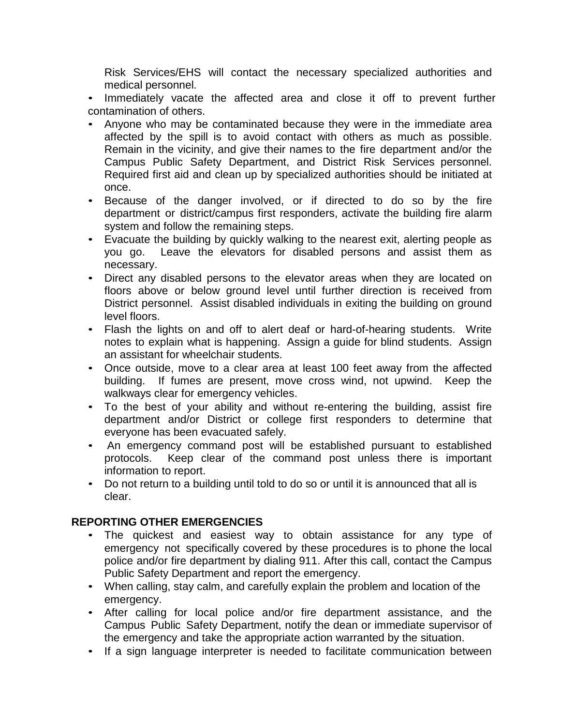Risk Services/EHS will contact the necessary specialized authorities and medical personnel.

• Immediately vacate the affected area and close it off to prevent further contamination of others.

- Anyone who may be contaminated because they were in the immediate area affected by the spill is to avoid contact with others as much as possible. Remain in the vicinity, and give their names to the fire department and/or the Campus Public Safety Department, and District Risk Services personnel. Required first aid and clean up by specialized authorities should be initiated at once.
- Because of the danger involved, or if directed to do so by the fire department or district/campus first responders, activate the building fire alarm system and follow the remaining steps.
- Evacuate the building by quickly walking to the nearest exit, alerting people as you go. Leave the elevators for disabled persons and assist them as necessary.
- Direct any disabled persons to the elevator areas when they are located on floors above or below ground level until further direction is received from District personnel. Assist disabled individuals in exiting the building on ground level floors.
- Flash the lights on and off to alert deaf or hard-of-hearing students. Write notes to explain what is happening. Assign a guide for blind students. Assign an assistant for wheelchair students.
- Once outside, move to a clear area at least 100 feet away from the affected building. If fumes are present, move cross wind, not upwind. Keep the walkways clear for emergency vehicles.
- To the best of your ability and without re-entering the building, assist fire department and/or District or college first responders to determine that everyone has been evacuated safely.
- An emergency command post will be established pursuant to established protocols. Keep clear of the command post unless there is important information to report.
- Do not return to a building until told to do so or until it is announced that all is clear.

## **REPORTING OTHER EMERGENCIES**

- The quickest and easiest way to obtain assistance for any type of emergency not specifically covered by these procedures is to phone the local police and/or fire department by dialing 911. After this call, contact the Campus Public Safety Department and report the emergency.
- When calling, stay calm, and carefully explain the problem and location of the emergency.
- After calling for local police and/or fire department assistance, and the Campus Public Safety Department, notify the dean or immediate supervisor of the emergency and take the appropriate action warranted by the situation.
- If a sign language interpreter is needed to facilitate communication between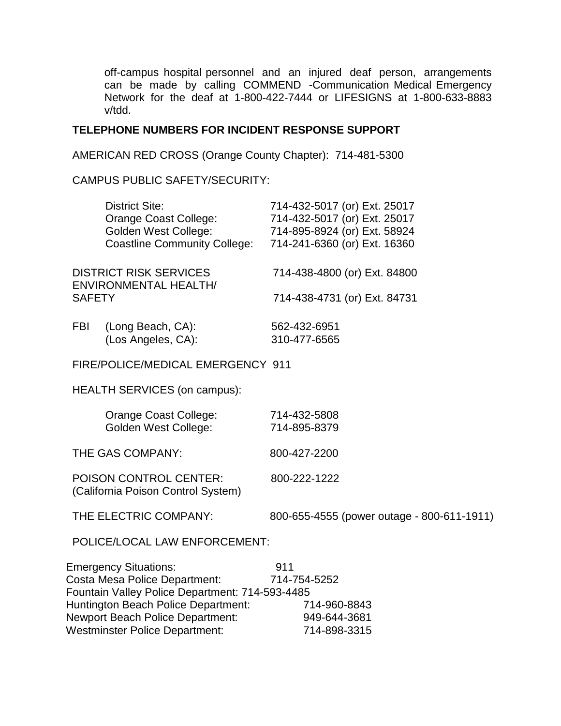off-campus hospital personnel and an injured deaf person, arrangements can be made by calling COMMEND -Communication Medical Emergency Network for the deaf at 1-800-422-7444 or LIFESIGNS at 1-800-633-8883 v/tdd.

### **TELEPHONE NUMBERS FOR INCIDENT RESPONSE SUPPORT**

AMERICAN RED CROSS (Orange County Chapter): 714-481-5300

CAMPUS PUBLIC SAFETY/SECURITY:

|                                                                     | <b>District Site:</b>                           | 714-432-5017 (or) Ext. 25017               |  |  |  |
|---------------------------------------------------------------------|-------------------------------------------------|--------------------------------------------|--|--|--|
|                                                                     | Orange Coast College:                           | 714-432-5017 (or) Ext. 25017               |  |  |  |
|                                                                     | <b>Golden West College:</b>                     | 714-895-8924 (or) Ext. 58924               |  |  |  |
|                                                                     | <b>Coastline Community College:</b>             | 714-241-6360 (or) Ext. 16360               |  |  |  |
| <b>DISTRICT RISK SERVICES</b><br><b>ENVIRONMENTAL HEALTH/</b>       |                                                 | 714-438-4800 (or) Ext. 84800               |  |  |  |
| <b>SAFETY</b>                                                       |                                                 | 714-438-4731 (or) Ext. 84731               |  |  |  |
| <b>FBI</b>                                                          | (Long Beach, CA):                               | 562-432-6951                               |  |  |  |
|                                                                     | (Los Angeles, CA):                              | 310-477-6565                               |  |  |  |
| FIRE/POLICE/MEDICAL EMERGENCY 911                                   |                                                 |                                            |  |  |  |
|                                                                     | <b>HEALTH SERVICES (on campus):</b>             |                                            |  |  |  |
|                                                                     | Orange Coast College:                           | 714-432-5808                               |  |  |  |
|                                                                     | <b>Golden West College:</b>                     | 714-895-8379                               |  |  |  |
| THE GAS COMPANY:                                                    |                                                 | 800-427-2200                               |  |  |  |
| <b>POISON CONTROL CENTER:</b><br>(California Poison Control System) |                                                 | 800-222-1222                               |  |  |  |
| THE ELECTRIC COMPANY:                                               |                                                 | 800-655-4555 (power outage - 800-611-1911) |  |  |  |
| POLICE/LOCAL LAW ENFORCEMENT:                                       |                                                 |                                            |  |  |  |
|                                                                     | <b>Emergency Situations:</b>                    | 911                                        |  |  |  |
| Costa Mesa Police Department:                                       |                                                 | 714-754-5252                               |  |  |  |
|                                                                     | Fountain Valley Police Department: 714-593-4485 |                                            |  |  |  |
|                                                                     | Huntington Beach Police Department:             | 714-960-8843                               |  |  |  |
|                                                                     | Newport Beach Police Department:                | 949-644-3681                               |  |  |  |
| <b>Westminster Police Department:</b>                               |                                                 | 714-898-3315                               |  |  |  |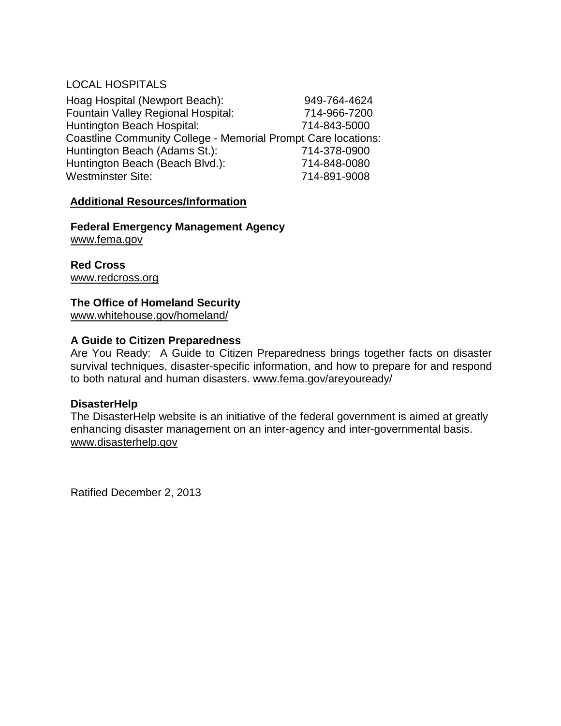## LOCAL HOSPITALS

Hoag Hospital (Newport Beach): 949-764-4624 Fountain Valley Regional Hospital: 714-966-7200 Huntington Beach Hospital: 714-843-5000 Coastline Community College - Memorial Prompt Care locations: Huntington Beach (Adams St.): 714-378-0900 Huntington Beach (Beach Blvd.): 714-848-0080 Westminster Site: 714-891-9008

### **Additional Resources/Information**

**Federal Emergency Management Agency** www.fema.gov

**Red Cross** www.redcross.org

## **The Office of Homeland Security**

www.whitehouse.gov/homeland/

### **A Guide to Citizen Preparedness**

Are You Ready: A Guide to Citizen Preparedness brings together facts on disaster survival techniques, disaster-specific information, and how to prepare for and respond to both natural and human disasters. www.fema.gov/areyouready/

### **DisasterHelp**

The DisasterHelp website is an initiative of the federal government is aimed at greatly enhancing disaster management on an inter-agency and inter-governmental basis. www.disasterhelp.gov

Ratified December 2, 2013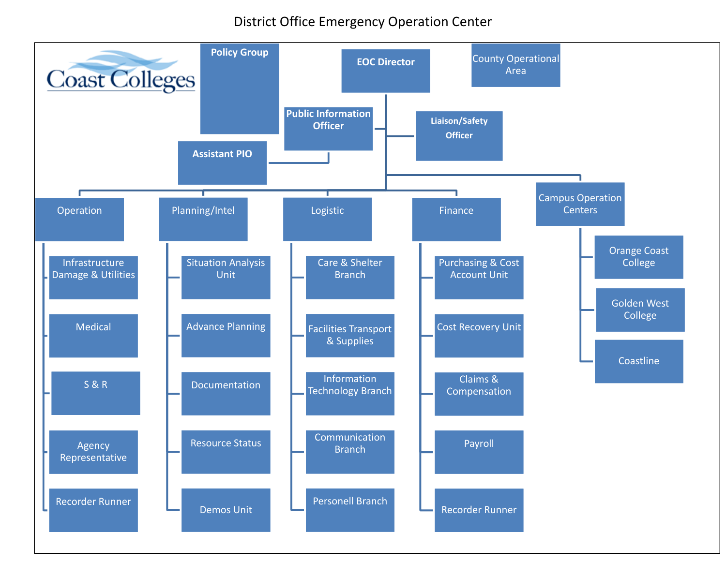# District Office Emergency Operation Center

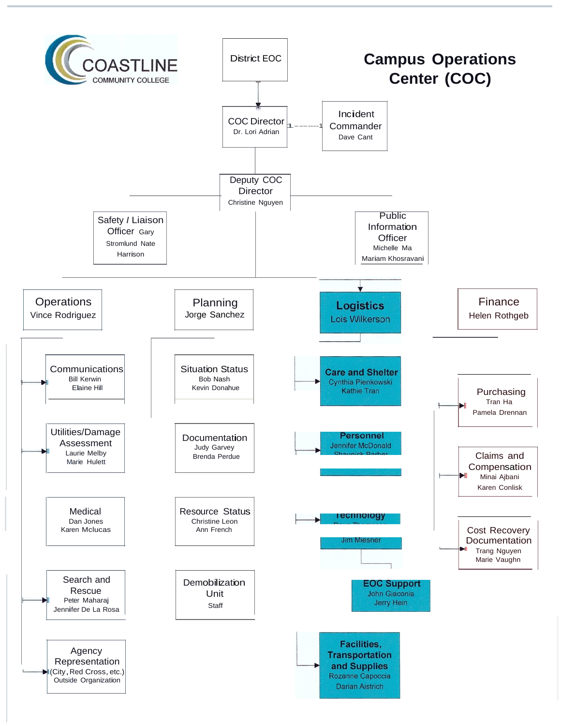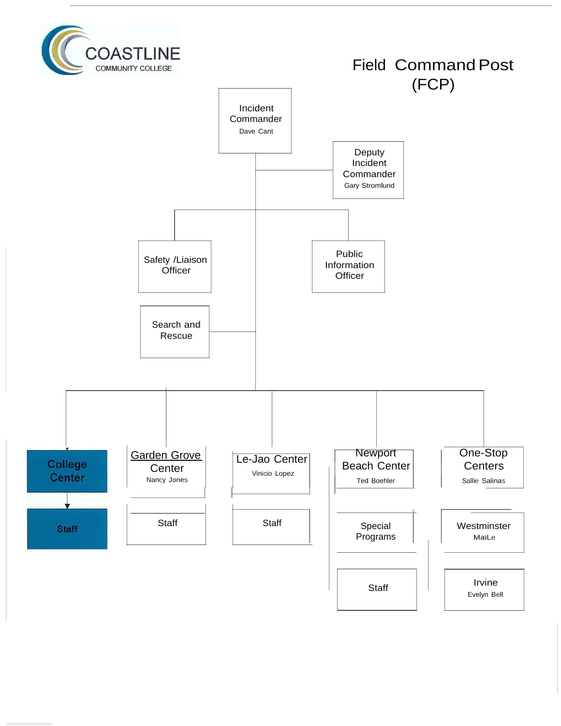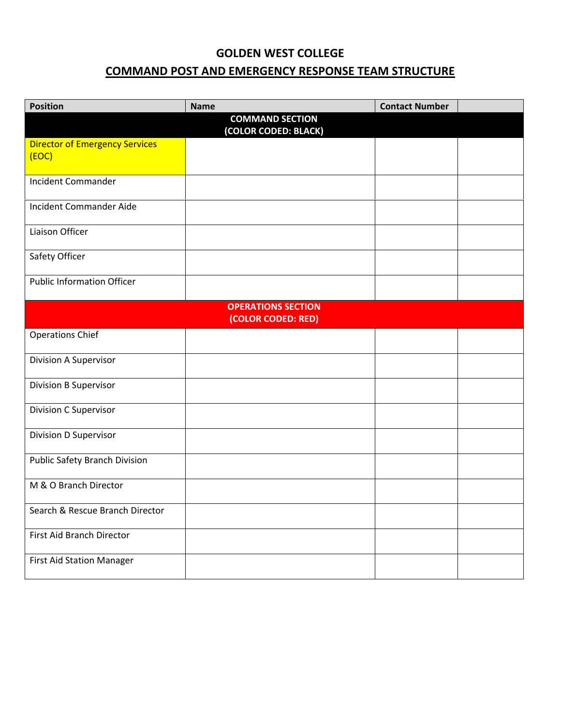# **GOLDEN WEST COLLEGE COMMAND POST AND EMERGENCY RESPONSE TEAM STRUCTURE**

| <b>Position</b>                                 | <b>Name</b>                                    | <b>Contact Number</b> |  |  |  |  |
|-------------------------------------------------|------------------------------------------------|-----------------------|--|--|--|--|
|                                                 | <b>COMMAND SECTION</b><br>(COLOR CODED: BLACK) |                       |  |  |  |  |
| <b>Director of Emergency Services</b><br>(EOC)  |                                                |                       |  |  |  |  |
| <b>Incident Commander</b>                       |                                                |                       |  |  |  |  |
| Incident Commander Aide                         |                                                |                       |  |  |  |  |
| Liaison Officer                                 |                                                |                       |  |  |  |  |
| Safety Officer                                  |                                                |                       |  |  |  |  |
| <b>Public Information Officer</b>               |                                                |                       |  |  |  |  |
| <b>OPERATIONS SECTION</b><br>(COLOR CODED: RED) |                                                |                       |  |  |  |  |
| <b>Operations Chief</b>                         |                                                |                       |  |  |  |  |
| Division A Supervisor                           |                                                |                       |  |  |  |  |
| <b>Division B Supervisor</b>                    |                                                |                       |  |  |  |  |
| Division C Supervisor                           |                                                |                       |  |  |  |  |
| Division D Supervisor                           |                                                |                       |  |  |  |  |
| <b>Public Safety Branch Division</b>            |                                                |                       |  |  |  |  |
| M & O Branch Director                           |                                                |                       |  |  |  |  |
| Search & Rescue Branch Director                 |                                                |                       |  |  |  |  |
| First Aid Branch Director                       |                                                |                       |  |  |  |  |
| First Aid Station Manager                       |                                                |                       |  |  |  |  |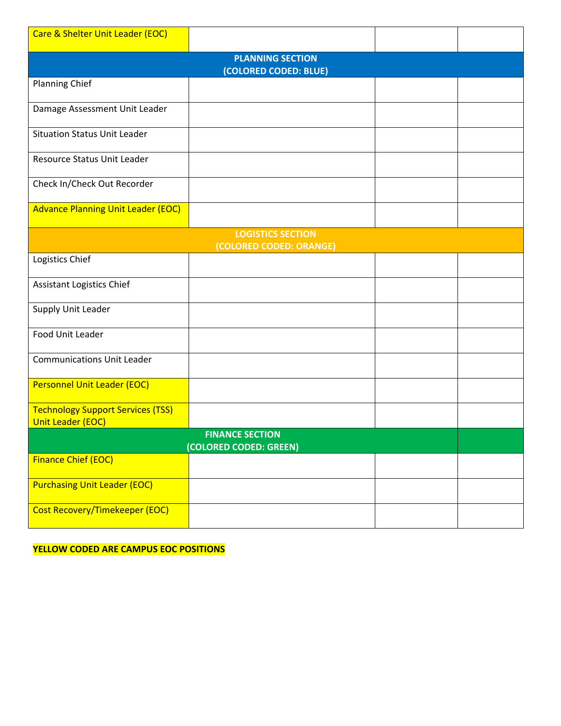| Care & Shelter Unit Leader (EOC)                                     |                         |  |  |  |  |  |
|----------------------------------------------------------------------|-------------------------|--|--|--|--|--|
| <b>PLANNING SECTION</b><br>(COLORED CODED: BLUE)                     |                         |  |  |  |  |  |
| <b>Planning Chief</b>                                                |                         |  |  |  |  |  |
| Damage Assessment Unit Leader                                        |                         |  |  |  |  |  |
| <b>Situation Status Unit Leader</b>                                  |                         |  |  |  |  |  |
| Resource Status Unit Leader                                          |                         |  |  |  |  |  |
| Check In/Check Out Recorder                                          |                         |  |  |  |  |  |
| <b>Advance Planning Unit Leader (EOC)</b>                            |                         |  |  |  |  |  |
| <b>LOGISTICS SECTION</b>                                             |                         |  |  |  |  |  |
| Logistics Chief                                                      | (COLORED CODED: ORANGE) |  |  |  |  |  |
| <b>Assistant Logistics Chief</b>                                     |                         |  |  |  |  |  |
| Supply Unit Leader                                                   |                         |  |  |  |  |  |
| Food Unit Leader                                                     |                         |  |  |  |  |  |
| <b>Communications Unit Leader</b>                                    |                         |  |  |  |  |  |
| Personnel Unit Leader (EOC)                                          |                         |  |  |  |  |  |
| <b>Technology Support Services (TSS)</b><br><b>Unit Leader (EOC)</b> |                         |  |  |  |  |  |
| <b>FINANCE SECTION</b><br>(COLORED CODED: GREEN)                     |                         |  |  |  |  |  |
| <b>Finance Chief (EOC)</b>                                           |                         |  |  |  |  |  |
| <b>Purchasing Unit Leader (EOC)</b>                                  |                         |  |  |  |  |  |
| <b>Cost Recovery/Timekeeper (EOC)</b>                                |                         |  |  |  |  |  |

**YELLOW CODED ARE CAMPUS EOC POSITIONS**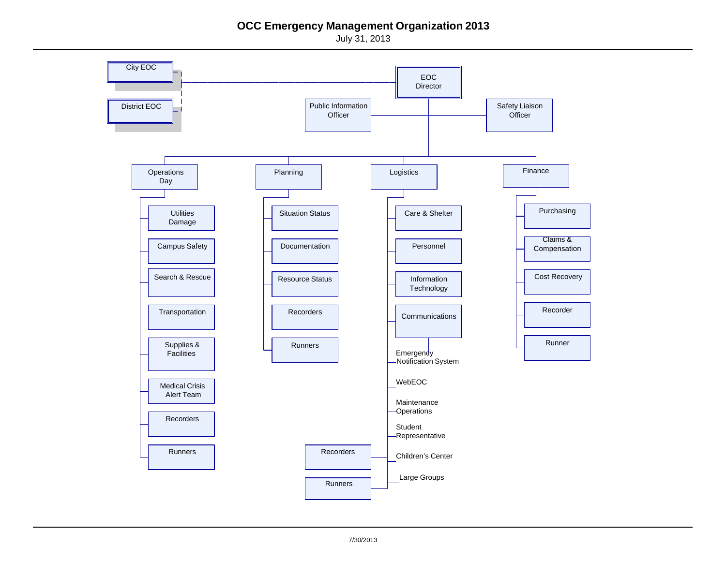## **OCC Emergency Management Organization 2013**

July 31, 2013